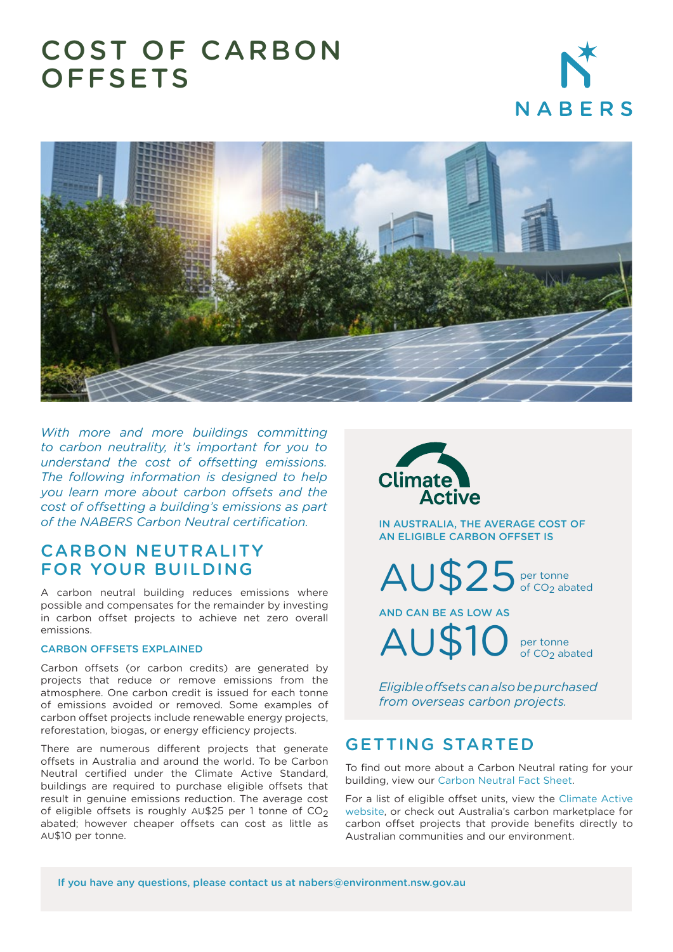# COST OF CARBON **OFFSETS**





*With more and more buildings committing to carbon neutrality, it's important for you to understand the cost of offsetting emissions. The following information is designed to help you learn more about carbon offsets and the cost of offsetting a building's emissions as part of the NABERS Carbon Neutral certification.*

## CARBON NEUTRALITY FOR YOUR BUILDING

A carbon neutral building reduces emissions where possible and compensates for the remainder by investing in carbon offset projects to achieve net zero overall emissions.

#### CARBON OFFSETS EXPLAINED

Carbon offsets (or carbon credits) are generated by projects that reduce or remove emissions from the atmosphere. One carbon credit is issued for each tonne of emissions avoided or removed. Some examples of carbon offset projects include renewable energy projects, reforestation, biogas, or energy efficiency projects.

There are numerous different projects that generate offsets in Australia and around the world. To be Carbon Neutral certified under the Climate Active Standard, buildings are required to purchase eligible offsets that result in genuine emissions reduction. The average cost of eligible offsets is roughly  $AU$25$  per 1 tonne of  $CO<sub>2</sub>$ abated; however cheaper offsets can cost as little as AU\$10 per tonne.



IN AUSTRALIA, THE AVERAGE COST OF AN ELIGIBLE CARBON OFFSET IS

per tonne AU\$25 per tonne

AND CAN BE AS LOW AS AU\$10

per tonne of CO<sub>2</sub> abated

*Eligible offsets can also be purchased from overseas carbon projects.*

#### GETTING STARTED

To find out more about a Carbon Neutral rating for your building, view our [Carbon Neutral Fact Sheet.](https://www.nabers.gov.au/file/24309/download?token=6iD0zSc_)

[For a list of eligible offset units, view the Climate Active](https://www.climateactive.org.au/) website, or check out Australia's carbon marketplace for carbon offset projects that provide benefits directly to Australian communities and our environment.